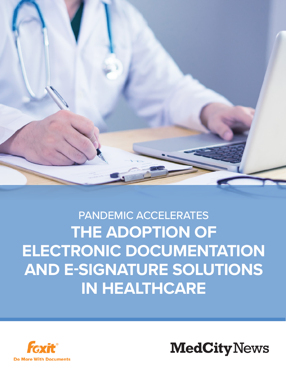

# PANDEMIC ACCELERATES **THE ADOPTION OF ELECTRONIC DOCUMENTATION AND E-SIGNATURE SOLUTIONS IN HEALTHCARE**



**MedCity News**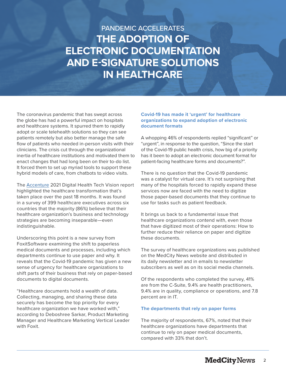## PANDEMIC ACCELERATES **THE ADOPTION OF ELECTRONIC DOCUMENTATION AND E-SIGNATURE SOLUTIONS IN HEALTHCARE**

The coronavirus pandemic that has swept across the globe has had a powerful impact on hospitals and healthcare systems. It spurred them to rapidly adopt or scale telehealth solutions so they can see patients remotely but also better manage the safe flow of patients who needed in-person visits with their clinicians. The crisis cut through the organizational inertia of healthcare institutions and motivated them to enact changes that had long been on their to-do list. It forced them to set up myriad tools to support these hybrid models of care, from chatbots to video visits.

The [Accenture](https://www.accenture.com/us-en/insights/health/accenture-digital-health-technology-vision-2021) 2021 Digital Health Tech Vision report highlighted the healthcare transformation that's taken place over the past 18 months. It was found in a survey of 399 healthcare executives across six countries that the majority (86%) believe that their healthcare organization's business and technology strategies are becoming inseparable—even indistinguishable.

Underscoring this point is a new survey from FoxitSoftware examining the shift to paperless medical documents and processes, including which departments continue to use paper and why. It reveals that the Covid-19 pandemic has given a new sense of urgency for healthcare organizations to shift parts of their business that rely on paper-based documents to digital documents.

"Healthcare documents hold a wealth of data. Collecting, managing, and sharing these data securely has become the top priority for every healthcare organization we have worked with," according to Deboshree Sarkar, Product Marketing Manager and Healthcare Marketing Vertical Leader with Foxit.

### **Covid-19 has made it 'urgent' for healthcare organizations to expand adoption of electronic document formats**

A whopping 46% of respondents replied "significant" or "urgent", in response to the question, "Since the start of the Covid-19 public health crisis, how big of a priority has it been to adopt an electronic document format for patient-facing healthcare forms and documents?".

There is no question that the Covid-19 pandemic was a catalyst for virtual care. It's not surprising that many of the hospitals forced to rapidly expand these services now are faced with the need to digitize those paper-based documents that they continue to use for tasks such as patient feedback.

It brings us back to a fundamental issue that healthcare organizations contend with, even those that have digitized most of their operations: How to further reduce their reliance on paper and digitize these documents.

The survey of healthcare organizations was published on the MedCity News website and distributed in its daily newsletter and in emails to newsletter subscribers as well as on its social media channels.

Of the respondents who completed the survey, 41% are from the C-Suite, 9.4% are health practitioners, 9.4% are in quality, compliance or operations, and 7.8 percent are in IT.

#### **The departments that rely on paper forms**

The majority of respondents, 67%, noted that their healthcare organizations have departments that continue to rely on paper medical documents, compared with 33% that don't.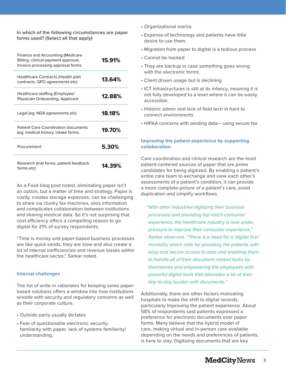**In which of the following circumstances are paper forms used? (Select all that apply)**

| Finance and Accounting (Medicare<br>Billing, clinical payment approval,<br>Invoice processing approval forms, | 15.91% |
|---------------------------------------------------------------------------------------------------------------|--------|
| Healthcare Contracts (Health plan<br>contracts, GPO agreements etc)                                           | 13.64% |
| Healthcare staffing (Employee/<br>Physician Onboarding, Applicant                                             | 12.88% |
| Legal (eg: NDA agreements etc)                                                                                | 18.18% |
| <b>Patient Care Coordination documents</b><br>(eg: medical history, intake forms,                             | 19.70% |
| Procurement                                                                                                   | 5.30%  |
| Research (trial forms, patient feedback<br>forms etc)                                                         | 14.39% |

As a Foxit blog post noted, eliminating paper isn't an option, but a matter of time and strategy. Paper is costly, creates storage expenses, can be challenging to share via clunky fax machines, silos information and complicates collaboration between institutions and sharing medical data. So it's not surprising that cost efficiency offers a compelling reason to go digital for 21% of survey respondents.

"Time is money and paper-based business processes are like quick sands, they are slow and also create a lot of internal inefficiencies and revenue losses within the healthcare sector," Sarkar noted.

#### **Internal challenges**

The list of write-in rationales for keeping some paperbased solutions offers a window into how institutions wrestle with security and regulatory concerns as well as their corporate culture:

- Outside party usually dictates
- Fear of questionable electronic security, familiarity with paper, lack of systems familiarity/ understanding.
- Organizational inertia
- Expense of technology and patients have little desire to use them.
- Migration from paper to digital is a tedious process
- Cannot be hacked
- They are backup in case something goes wrong with the electronic forms.
- Client driven usage but is declining
- ICT Infrastructures is still at its infancy, meaning it is not fully developed to a level where it can be easily accessible.
- Historic admin and lack of field tech in hard to connect environments
- HIPAA concerns with sending data— using secure fax.

#### **Improving the patient experience by supporting collaboration**

Care coordination and clinical research are the most patient-centered sources of paper that are prime candidates for being digitized. By enabling a patient's entire care team to exchange and view each other's assessments of a patient's condition, it can provide a more complete picture of a patient's care, avoid duplication and simplify workflows.

*"With other industries digitizing their business processes and providing top notch consumer experience, the healthcare industry is now under pressure to improve their consumer experience," Sarkar observed. "There is a need for a 'digital first' mentality which calls for providing the patients with easy and secure access to data and enabling them to handle all of their document related tasks by themselves and empowering the employees with powerful digital tools that alleviates a lot of their day-to-day burden with documents."*

Additionally, there are other factors motivating hospitals to make the shift to digital records, particularly Improving the patient experience. About 58% of respondents said patients expressed a preference for electronic documents over paper forms. Many believe that the hybrid model of care, making virtual and in-person care available depending on the needs and preferences of patients, is here to stay. Digitizing documents that are key